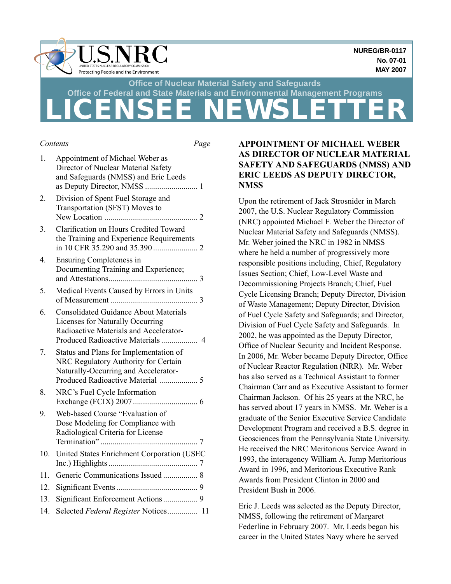

#### *Contents Page*

| 1.              | Appointment of Michael Weber as<br>Director of Nuclear Material Safety<br>and Safeguards (NMSS) and Eric Leeds                                             |
|-----------------|------------------------------------------------------------------------------------------------------------------------------------------------------------|
| 2.              | Division of Spent Fuel Storage and<br>Transportation (SFST) Moves to                                                                                       |
| 3.              | <b>Clarification on Hours Credited Toward</b><br>the Training and Experience Requirements                                                                  |
| 4.              | <b>Ensuring Completeness in</b><br>Documenting Training and Experience;                                                                                    |
| 5.              | Medical Events Caused by Errors in Units                                                                                                                   |
| 6.              | <b>Consolidated Guidance About Materials</b><br>Licenses for Naturally Occurring<br>Radioactive Materials and Accelerator-                                 |
| 7.              | Status and Plans for Implementation of<br>NRC Regulatory Authority for Certain<br>Naturally-Occurring and Accelerator-<br>Produced Radioactive Material  5 |
| 8.              | NRC's Fuel Cycle Information                                                                                                                               |
| 9.              | Web-based Course "Evaluation of<br>Dose Modeling for Compliance with<br>Radiological Criteria for License                                                  |
| 10 <sub>1</sub> | United States Enrichment Corporation (USEC                                                                                                                 |
| 11.             |                                                                                                                                                            |
| 12.             |                                                                                                                                                            |
| 13.             | Significant Enforcement Actions  9                                                                                                                         |
| 14.             | Selected Federal Register Notices 11                                                                                                                       |
|                 |                                                                                                                                                            |

# **APPOINTMENT OF MICHAEL WEBER AS DIRECTOR OF NUCLEAR MATERIAL SAFETY AND SAFEGUARDS (NMSS) AND ERIC LEEDS AS DEPUTY DIRECTOR, NMSS**

Upon the retirement of Jack Strosnider in March 2007, the U.S. Nuclear Regulatory Commission (NRC) appointed Michael F. Weber the Director of Nuclear Material Safety and Safeguards (NMSS). Mr. Weber joined the NRC in 1982 in NMSS where he held a number of progressively more responsible positions including, Chief, Regulatory Issues Section; Chief, Low-Level Waste and Decommissioning Projects Branch; Chief, Fuel Cycle Licensing Branch; Deputy Director, Division of Waste Management; Deputy Director, Division of Fuel Cycle Safety and Safeguards; and Director, Division of Fuel Cycle Safety and Safeguards. In 2002, he was appointed as the Deputy Director, Office of Nuclear Security and Incident Response. In 2006, Mr. Weber became Deputy Director, Office of Nuclear Reactor Regulation (NRR). Mr. Weber has also served as a Technical Assistant to former Chairman Carr and as Executive Assistant to former Chairman Jackson. Of his 25 years at the NRC, he has served about 17 years in NMSS. Mr. Weber is a graduate of the Senior Executive Service Candidate Development Program and received a B.S. degree in Geosciences from the Pennsylvania State University. He received the NRC Meritorious Service Award in 1993, the interagency William A. Jump Meritorious Award in 1996, and Meritorious Executive Rank Awards from President Clinton in 2000 and President Bush in 2006.

Eric J. Leeds was selected as the Deputy Director, NMSS, following the retirement of Margaret Federline in February 2007. Mr. Leeds began his career in the United States Navy where he served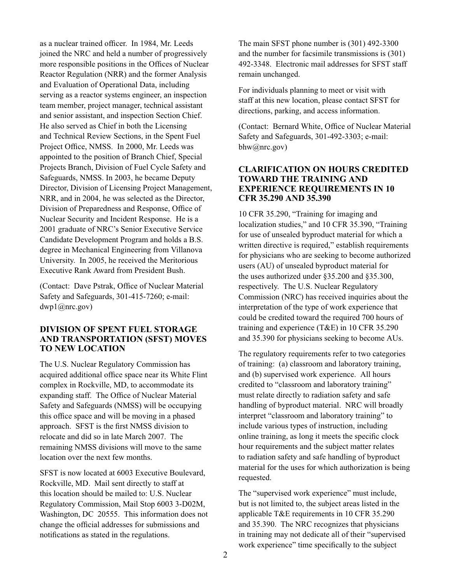as a nuclear trained officer. In 1984, Mr. Leeds joined the NRC and held a number of progressively more responsible positions in the Offices of Nuclear Reactor Regulation (NRR) and the former Analysis and Evaluation of Operational Data, including serving as a reactor systems engineer, an inspection team member, project manager, technical assistant and senior assistant, and inspection Section Chief. He also served as Chief in both the Licensing and Technical Review Sections, in the Spent Fuel Project Office, NMSS. In 2000, Mr. Leeds was appointed to the position of Branch Chief, Special Projects Branch, Division of Fuel Cycle Safety and Safeguards, NMSS. In 2003, he became Deputy Director, Division of Licensing Project Management, NRR, and in 2004, he was selected as the Director, Division of Preparedness and Response, Office of Nuclear Security and Incident Response. He is a 2001 graduate of NRC's Senior Executive Service Candidate Development Program and holds a B.S. degree in Mechanical Engineering from Villanova University. In 2005, he received the Meritorious Executive Rank Award from President Bush.

(Contact: Dave Pstrak, Office of Nuclear Material Safety and Safeguards, 301-415-7260; e-mail: dwp1@nrc.gov)

### **DIVISION OF SPENT FUEL STORAGE AND TRANSPORTATION (SFST) MOVES TO NEW LOCATION**

The U.S. Nuclear Regulatory Commission has acquired additional office space near its White Flint complex in Rockville, MD, to accommodate its expanding staff. The Office of Nuclear Material Safety and Safeguards (NMSS) will be occupying this office space and will be moving in a phased approach. SFST is the first NMSS division to relocate and did so in late March 2007. The remaining NMSS divisions will move to the same location over the next few months.

SFST is now located at 6003 Executive Boulevard, Rockville, MD. Mail sent directly to staff at this location should be mailed to: U.S. Nuclear Regulatory Commission, Mail Stop 6003 3-D02M, Washington, DC 20555. This information does not change the official addresses for submissions and notifications as stated in the regulations.

The main SFST phone number is (301) 492-3300 and the number for facsimile transmissions is (301) 492-3348. Electronic mail addresses for SFST staff remain unchanged.

For individuals planning to meet or visit with staff at this new location, please contact SFST for directions, parking, and access information.

(Contact: Bernard White, Office of Nuclear Material Safety and Safeguards, 301-492-3303; e-mail: bhw@nrc.gov)

### **CLARIFICATION ON HOURS CREDITED TOWARD THE TRAINING AND EXPERIENCE REQUIREMENTS IN 10 CFR 35.290 AND 35.390**

10 CFR 35.290, "Training for imaging and localization studies," and 10 CFR 35.390, "Training for use of unsealed byproduct material for which a written directive is required," establish requirements for physicians who are seeking to become authorized users (AU) of unsealed byproduct material for the uses authorized under §35.200 and §35.300, respectively. The U.S. Nuclear Regulatory Commission (NRC) has received inquiries about the interpretation of the type of work experience that could be credited toward the required 700 hours of training and experience (T&E) in 10 CFR 35.290 and 35.390 for physicians seeking to become AUs.

The regulatory requirements refer to two categories of training: (a) classroom and laboratory training, and (b) supervised work experience. All hours credited to "classroom and laboratory training" must relate directly to radiation safety and safe handling of byproduct material. NRC will broadly interpret "classroom and laboratory training" to include various types of instruction, including online training, as long it meets the specific clock hour requirements and the subject matter relates to radiation safety and safe handling of byproduct material for the uses for which authorization is being requested.

The "supervised work experience" must include, but is not limited to, the subject areas listed in the applicable T&E requirements in 10 CFR 35.290 and 35.390. The NRC recognizes that physicians in training may not dedicate all of their "supervised work experience" time specifically to the subject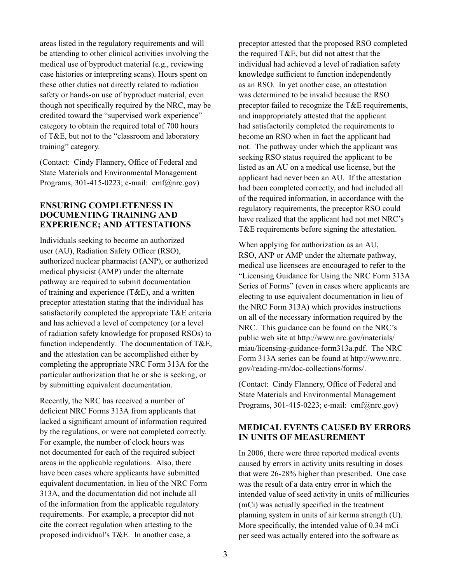areas listed in the regulatory requirements and will be attending to other clinical activities involving the medical use of byproduct material (e.g., reviewing case histories or interpreting scans). Hours spent on these other duties not directly related to radiation safety or hands-on use of byproduct material, even though not specifically required by the NRC, may be credited toward the "supervised work experience" category to obtain the required total of 700 hours of T&E, but not to the "classroom and laboratory training" category.

(Contact: Cindy Flannery, Office of Federal and State Materials and Environmental Management Programs, 301-415-0223; e-mail: cmf@nrc.gov)

# **ENSURING COMPLETENESS IN DOCUMENTING TRAINING AND EXPERIENCE; AND ATTESTATIONS**

Individuals seeking to become an authorized user (AU), Radiation Safety Officer (RSO), authorized nuclear pharmacist (ANP), or authorized medical physicist (AMP) under the alternate pathway are required to submit documentation of training and experience (T&E), and a written preceptor attestation stating that the individual has satisfactorily completed the appropriate T&E criteria and has achieved a level of competency (or a level of radiation safety knowledge for proposed RSOs) to function independently. The documentation of T&E, and the attestation can be accomplished either by completing the appropriate NRC Form 313A for the particular authorization that he or she is seeking, or by submitting equivalent documentation.

Recently, the NRC has received a number of deficient NRC Forms 313A from applicants that lacked a significant amount of information required by the regulations, or were not completed correctly. For example, the number of clock hours was not documented for each of the required subject areas in the applicable regulations. Also, there have been cases where applicants have submitted equivalent documentation, in lieu of the NRC Form 313A, and the documentation did not include all of the information from the applicable regulatory requirements. For example, a preceptor did not cite the correct regulation when attesting to the proposed individual's T&E. In another case, a

preceptor attested that the proposed RSO completed the required T&E, but did not attest that the individual had achieved a level of radiation safety knowledge sufficient to function independently as an RSO. In yet another case, an attestation was determined to be invalid because the RSO preceptor failed to recognize the T&E requirements, and inappropriately attested that the applicant had satisfactorily completed the requirements to become an RSO when in fact the applicant had not. The pathway under which the applicant was seeking RSO status required the applicant to be listed as an AU on a medical use license, but the applicant had never been an AU. If the attestation had been completed correctly, and had included all of the required information, in accordance with the regulatory requirements, the preceptor RSO could have realized that the applicant had not met NRC's T&E requirements before signing the attestation.

When applying for authorization as an AU, RSO, ANP or AMP under the alternate pathway, medical use licensees are encouraged to refer to the "Licensing Guidance for Using the NRC Form 313A Series of Forms" (even in cases where applicants are electing to use equivalent documentation in lieu of the NRC Form 313A) which provides instructions on all of the necessary information required by the NRC. This guidance can be found on the NRC's public web site at http://www.nrc.gov/materials/ miau/licensing-guidance-form313a.pdf. The NRC Form 313A series can be found at http://www.nrc. gov/reading-rm/doc-collections/forms/.

(Contact: Cindy Flannery, Office of Federal and State Materials and Environmental Management Programs, 301-415-0223; e-mail: cmf@nrc.gov)

# **MEDICAL EVENTS CAUSED BY ERRORS IN UNITS OF MEASUREMENT**

In 2006, there were three reported medical events caused by errors in activity units resulting in doses that were 26-28% higher than prescribed. One case was the result of a data entry error in which the intended value of seed activity in units of millicuries (mCi) was actually specified in the treatment planning system in units of air kerma strength (U). More specifically, the intended value of 0.34 mCi per seed was actually entered into the software as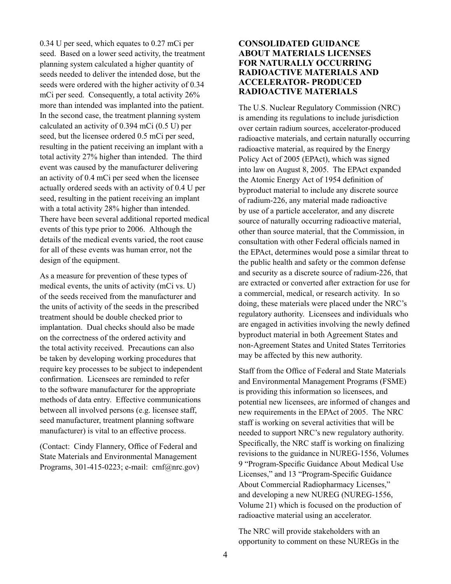0.34 U per seed, which equates to 0.27 mCi per seed. Based on a lower seed activity, the treatment planning system calculated a higher quantity of seeds needed to deliver the intended dose, but the seeds were ordered with the higher activity of 0.34 mCi per seed. Consequently, a total activity 26% more than intended was implanted into the patient. In the second case, the treatment planning system calculated an activity of 0.394 mCi (0.5 U) per seed, but the licensee ordered 0.5 mCi per seed, resulting in the patient receiving an implant with a total activity 27% higher than intended. The third event was caused by the manufacturer delivering an activity of 0.4 mCi per seed when the licensee actually ordered seeds with an activity of 0.4 U per seed, resulting in the patient receiving an implant with a total activity 28% higher than intended. There have been several additional reported medical events of this type prior to 2006. Although the details of the medical events varied, the root cause for all of these events was human error, not the design of the equipment.

As a measure for prevention of these types of medical events, the units of activity (mCi vs. U) of the seeds received from the manufacturer and the units of activity of the seeds in the prescribed treatment should be double checked prior to implantation. Dual checks should also be made on the correctness of the ordered activity and the total activity received. Precautions can also be taken by developing working procedures that require key processes to be subject to independent confirmation. Licensees are reminded to refer to the software manufacturer for the appropriate methods of data entry. Effective communications between all involved persons (e.g. licensee staff, seed manufacturer, treatment planning software manufacturer) is vital to an effective process.

(Contact: Cindy Flannery, Office of Federal and State Materials and Environmental Management Programs, 301-415-0223; e-mail: cmf@nrc.gov)

# **CONSOLIDATED GUIDANCE ABOUT MATERIALS LICENSES FOR NATURALLY OCCURRING RADIOACTIVE MATERIALS AND ACCELERATOR- PRODUCED RADIOACTIVE MATERIALS**

The U.S. Nuclear Regulatory Commission (NRC) is amending its regulations to include jurisdiction over certain radium sources, accelerator-produced radioactive materials, and certain naturally occurring radioactive material, as required by the Energy Policy Act of 2005 (EPAct), which was signed into law on August 8, 2005. The EPAct expanded the Atomic Energy Act of 1954 definition of byproduct material to include any discrete source of radium-226, any material made radioactive by use of a particle accelerator, and any discrete source of naturally occurring radioactive material, other than source material, that the Commission, in consultation with other Federal officials named in the EPAct, determines would pose a similar threat to the public health and safety or the common defense and security as a discrete source of radium-226, that are extracted or converted after extraction for use for a commercial, medical, or research activity. In so doing, these materials were placed under the NRC's regulatory authority. Licensees and individuals who are engaged in activities involving the newly defined byproduct material in both Agreement States and non-Agreement States and United States Territories may be affected by this new authority.

Staff from the Office of Federal and State Materials and Environmental Management Programs (FSME) is providing this information so licensees, and potential new licensees, are informed of changes and new requirements in the EPAct of 2005. The NRC staff is working on several activities that will be needed to support NRC's new regulatory authority. Specifically, the NRC staff is working on finalizing revisions to the guidance in NUREG-1556, Volumes 9 "Program-Specific Guidance About Medical Use Licenses," and 13 "Program-Specific Guidance About Commercial Radiopharmacy Licenses," and developing a new NUREG (NUREG-1556, Volume 21) which is focused on the production of radioactive material using an accelerator. 

The NRC will provide stakeholders with an opportunity to comment on these NUREGs in the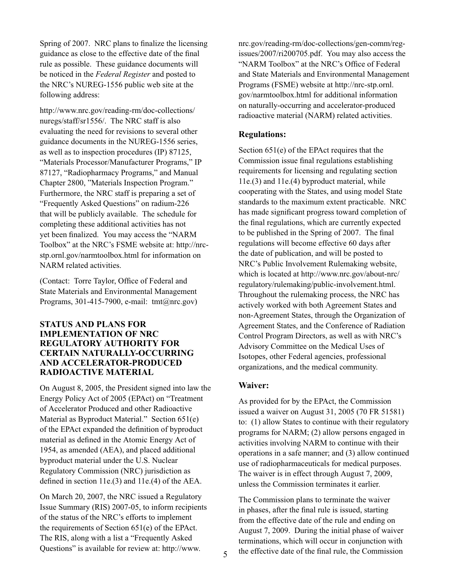Spring of 2007. NRC plans to finalize the licensing guidance as close to the effective date of the final rule as possible. These guidance documents will be noticed in the *Federal Register* and posted to the NRC's NUREG-1556 public web site at the following address:

http://www.nrc.gov/reading-rm/doc-collections/ nuregs/staff/sr1556/. The NRC staff is also evaluating the need for revisions to several other guidance documents in the NUREG-1556 series, as well as to inspection procedures (IP) 87125, "Materials Processor/Manufacturer Programs," IP 87127, "Radiopharmacy Programs," and Manual Chapter 2800, "Materials Inspection Program." Furthermore, the NRC staff is preparing a set of "Frequently Asked Questions" on radium-226 that will be publicly available. The schedule for completing these additional activities has not yet been finalized. You may access the "NARM Toolbox" at the NRC's FSME website at: http://nrcstp.ornl.gov/narmtoolbox.html for information on NARM related activities.

(Contact: Torre Taylor, Office of Federal and State Materials and Environmental Management Programs, 301-415-7900, e-mail: tmt@nrc.gov)

# **STATUS AND PLANS FOR IMPLEMENTATION OF NRC REGULATORY AUTHORITY FOR CERTAIN NATURALLY-OCCURRING AND ACCELERATOR-PRODUCED RADIOACTIVE MATERIAL**

On August 8, 2005, the President signed into law the Energy Policy Act of 2005 (EPAct) on "Treatment of Accelerator Produced and other Radioactive Material as Byproduct Material." Section 651(e) of the EPAct expanded the definition of byproduct material as defined in the Atomic Energy Act of 1954, as amended (AEA), and placed additional byproduct material under the U.S. Nuclear Regulatory Commission (NRC) jurisdiction as defined in section 11e.(3) and 11e.(4) of the AEA.

On March 20, 2007, the NRC issued a Regulatory Issue Summary (RIS) 2007-05, to inform recipients of the status of the NRC's efforts to implement the requirements of Section 651(e) of the EPAct. The RIS, along with a list a "Frequently Asked Questions" is available for review at: http://www.

nrc.gov/reading-rm/doc-collections/gen-comm/regissues/2007/ri200705.pdf. You may also access the "NARM Toolbox" at the NRC's Office of Federal and State Materials and Environmental Management Programs (FSME) website at http://nrc-stp.ornl. gov/narmtoolbox.html for additional information on naturally-occurring and accelerator-produced radioactive material (NARM) related activities.

### **Regulations:**

Section 651(e) of the EPAct requires that the Commission issue final regulations establishing requirements for licensing and regulating section 11e.(3) and 11e.(4) byproduct material, while cooperating with the States, and using model State standards to the maximum extent practicable. NRC has made significant progress toward completion of the final regulations, which are currently expected to be published in the Spring of 2007. The final regulations will become effective 60 days after the date of publication, and will be posted to NRC's Public Involvement Rulemaking website, which is located at http://www.nrc.gov/about-nrc/ regulatory/rulemaking/public-involvement.html. Throughout the rulemaking process, the NRC has actively worked with both Agreement States and non-Agreement States, through the Organization of Agreement States, and the Conference of Radiation Control Program Directors, as well as with NRC's Advisory Committee on the Medical Uses of Isotopes, other Federal agencies, professional organizations, and the medical community.

#### **Waiver:**

As provided for by the EPAct, the Commission issued a waiver on August 31, 2005 (70 FR 51581) to: (1) allow States to continue with their regulatory programs for NARM; (2) allow persons engaged in activities involving NARM to continue with their operations in a safe manner; and (3) allow continued use of radiopharmaceuticals for medical purposes. The waiver is in effect through August 7, 2009, unless the Commission terminates it earlier.

The Commission plans to terminate the waiver in phases, after the final rule is issued, starting from the effective date of the rule and ending on August 7, 2009. During the initial phase of waiver terminations, which will occur in conjunction with the effective date of the final rule, the Commission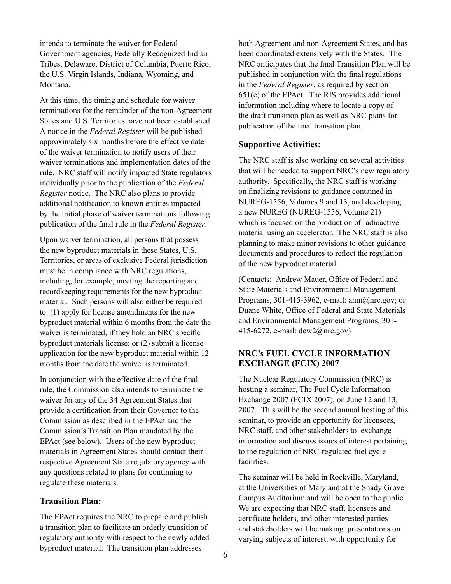intends to terminate the waiver for Federal Government agencies, Federally Recognized Indian Tribes, Delaware, District of Columbia, Puerto Rico, the U.S. Virgin Islands, Indiana, Wyoming, and Montana.

At this time, the timing and schedule for waiver terminations for the remainder of the non-Agreement States and U.S. Territories have not been established. A notice in the *Federal Register* will be published approximately six months before the effective date of the waiver termination to notify users of their waiver terminations and implementation dates of the rule. NRC staff will notify impacted State regulators individually prior to the publication of the *Federal Register* notice. The NRC also plans to provide additional notification to known entities impacted by the initial phase of waiver terminations following publication of the final rule in the *Federal Register*.

Upon waiver termination, all persons that possess the new byproduct materials in these States, U.S. Territories, or areas of exclusive Federal jurisdiction must be in compliance with NRC regulations, including, for example, meeting the reporting and recordkeeping requirements for the new byproduct material. Such persons will also either be required to: (1) apply for license amendments for the new byproduct material within 6 months from the date the waiver is terminated, if they hold an NRC specific byproduct materials license; or (2) submit a license application for the new byproduct material within 12 months from the date the waiver is terminated.

In conjunction with the effective date of the final rule, the Commission also intends to terminate the waiver for any of the 34 Agreement States that provide a certification from their Governor to the Commission as described in the EPAct and the Commission's Transition Plan mandated by the EPAct (see below). Users of the new byproduct materials in Agreement States should contact their respective Agreement State regulatory agency with any questions related to plans for continuing to regulate these materials.

#### **Transition Plan:**

The EPAct requires the NRC to prepare and publish a transition plan to facilitate an orderly transition of regulatory authority with respect to the newly added byproduct material. The transition plan addresses

both Agreement and non-Agreement States, and has been coordinated extensively with the States. The NRC anticipates that the final Transition Plan will be published in conjunction with the final regulations in the *Federal Register*, as required by section 651(e) of the EPAct. The RIS provides additional information including where to locate a copy of the draft transition plan as well as NRC plans for publication of the final transition plan.

# **Supportive Activities:**

The NRC staff is also working on several activities that will be needed to support NRC's new regulatory authority. Specifically, the NRC staff is working on finalizing revisions to guidance contained in NUREG-1556, Volumes 9 and 13, and developing a new NUREG (NUREG-1556, Volume 21) which is focused on the production of radioactive material using an accelerator. The NRC staff is also planning to make minor revisions to other guidance documents and procedures to reflect the regulation of the new byproduct material.

(Contacts: Andrew Mauer, Office of Federal and State Materials and Environmental Management Programs, 301-415-3962, e-mail: anm@nrc.gov; or Duane White, Office of Federal and State Materials and Environmental Management Programs, 301- 415-6272, e-mail: dew2@nrc.gov)

# **NRC's FUEL CYCLE INFORMATION EXCHANGE (FCIX) 2007**

The Nuclear Regulatory Commission (NRC) is hosting a seminar, The Fuel Cycle Information Exchange 2007 (FCIX 2007), on June 12 and 13, 2007. This will be the second annual hosting of this seminar, to provide an opportunity for licensees, NRC staff, and other stakeholders to exchange information and discuss issues of interest pertaining to the regulation of NRC-regulated fuel cycle facilities.

The seminar will be held in Rockville, Maryland, at the Universities of Maryland at the Shady Grove Campus Auditorium and will be open to the public. We are expecting that NRC staff, licensees and certificate holders, and other interested parties and stakeholders will be making presentations on varying subjects of interest, with opportunity for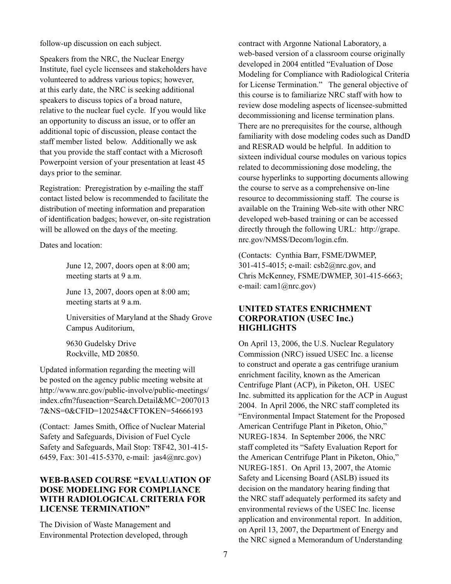follow-up discussion on each subject.

Speakers from the NRC, the Nuclear Energy Institute, fuel cycle licensees and stakeholders have volunteered to address various topics; however, at this early date, the NRC is seeking additional speakers to discuss topics of a broad nature, relative to the nuclear fuel cycle. If you would like an opportunity to discuss an issue, or to offer an additional topic of discussion, please contact the staff member listed below. Additionally we ask that you provide the staff contact with a Microsoft Powerpoint version of your presentation at least 45 days prior to the seminar.

Registration: Preregistration by e-mailing the staff contact listed below is recommended to facilitate the distribution of meeting information and preparation of identification badges; however, on-site registration will be allowed on the days of the meeting.

Dates and location:

June 12, 2007, doors open at 8:00 am; meeting starts at 9 a.m.

June 13, 2007, doors open at 8:00 am; meeting starts at 9 a.m.

Universities of Maryland at the Shady Grove Campus Auditorium,

9630 Gudelsky Drive Rockville, MD 20850.

Updated information regarding the meeting will be posted on the agency public meeting website at http://www.nrc.gov/public-involve/public-meetings/ index.cfm?fuseaction=Search.Detail&MC=2007013 7&NS=0&CFID=120254&CFTOKEN=54666193

(Contact: James Smith, Office of Nuclear Material Safety and Safeguards, Division of Fuel Cycle Safety and Safeguards, Mail Stop: T8F42, 301-415- 6459, Fax: 301-415-5370, e-mail: jas4@nrc.gov)

# **WEB-BASED COURSE "EVALUATION OF DOSE MODELING FOR COMPLIANCE WITH RADIOLOGICAL CRITERIA FOR LICENSE TERMINATION"**

The Division of Waste Management and Environmental Protection developed, through

contract with Argonne National Laboratory, a web-based version of a classroom course originally developed in 2004 entitled "Evaluation of Dose Modeling for Compliance with Radiological Criteria for License Termination." The general objective of this course is to familiarize NRC staff with how to review dose modeling aspects of licensee-submitted decommissioning and license termination plans. There are no prerequisites for the course, although familiarity with dose modeling codes such as DandD and RESRAD would be helpful. In addition to sixteen individual course modules on various topics related to decommissioning dose modeling, the course hyperlinks to supporting documents allowing the course to serve as a comprehensive on-line resource to decommissioning staff. The course is available on the Training Web-site with other NRC developed web-based training or can be accessed directly through the following URL: http://grape. nrc.gov/NMSS/Decom/login.cfm.

(Contacts: Cynthia Barr, FSME/DWMEP, 301-415-4015; e-mail: csb2@nrc.gov, and Chris McKenney, FSME/DWMEP, 301-415-6663; e-mail: cam1@nrc.gov)

#### **UNITED STATES ENRICHMENT CORPORATION (USEC Inc.) HIGHLIGHTS**

On April 13, 2006, the U.S. Nuclear Regulatory Commission (NRC) issued USEC Inc. a license to construct and operate a gas centrifuge uranium enrichment facility, known as the American Centrifuge Plant (ACP), in Piketon, OH. USEC Inc. submitted its application for the ACP in August 2004. In April 2006, the NRC staff completed its "Environmental Impact Statement for the Proposed American Centrifuge Plant in Piketon, Ohio," NUREG-1834. In September 2006, the NRC staff completed its "Safety Evaluation Report for the American Centrifuge Plant in Piketon, Ohio," NUREG-1851. On April 13, 2007, the Atomic Safety and Licensing Board (ASLB) issued its decision on the mandatory hearing finding that the NRC staff adequately performed its safety and environmental reviews of the USEC Inc. license application and environmental report. In addition, on April 13, 2007, the Department of Energy and the NRC signed a Memorandum of Understanding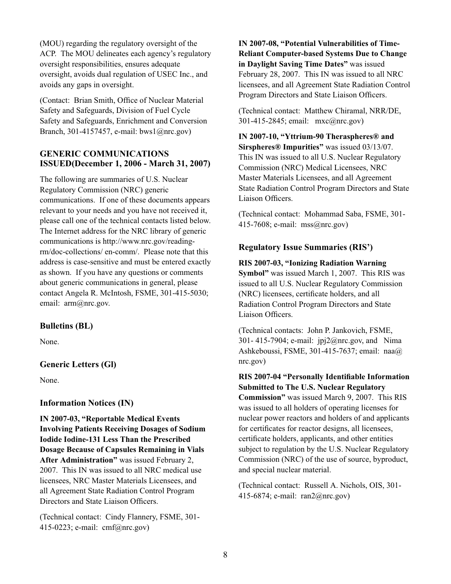(MOU) regarding the regulatory oversight of the ACP. The MOU delineates each agency's regulatory oversight responsibilities, ensures adequate oversight, avoids dual regulation of USEC Inc., and avoids any gaps in oversight.

(Contact: Brian Smith, Office of Nuclear Material Safety and Safeguards, Division of Fuel Cycle Safety and Safeguards, Enrichment and Conversion Branch, 301-4157457, e-mail: bws1@nrc.gov)

### **GENERIC COMMUNICATIONS ISSUED(December 1, 2006 - March 31, 2007)**

The following are summaries of U.S. Nuclear Regulatory Commission (NRC) generic communications. If one of these documents appears relevant to your needs and you have not received it, please call one of the technical contacts listed below. The Internet address for the NRC library of generic communications is http://www.nrc.gov/readingrm/doc-collections/ en-comm/. Please note that this address is case-sensitive and must be entered exactly as shown. If you have any questions or comments about generic communications in general, please contact Angela R. McIntosh, FSME, 301-415-5030; email:  $arm@nrc.gov$ .

# **Bulletins (BL)**

None.

# **Generic Letters (Gl)**

None.

#### **Information Notices (IN)**

**IN 2007-03, "Reportable Medical Events Involving Patients Receiving Dosages of Sodium Iodide Iodine-131 Less Than the Prescribed Dosage Because of Capsules Remaining in Vials After Administration"** was issued February 2, 2007. This IN was issued to all NRC medical use licensees, NRC Master Materials Licensees, and all Agreement State Radiation Control Program Directors and State Liaison Officers.

(Technical contact: Cindy Flannery, FSME, 301- 415-0223; e-mail: cmf@nrc.gov)

**IN 2007-08, "Potential Vulnerabilities of Time-Reliant Computer-based Systems Due to Change in Daylight Saving Time Dates"** was issued February 28, 2007. This IN was issued to all NRC licensees, and all Agreement State Radiation Control Program Directors and State Liaison Officers.

(Technical contact: Matthew Chiramal, NRR/DE, 301-415-2845; email: mxc@nrc.gov)

**IN 2007-10, "Yttrium-90 Theraspheres® and Sirspheres® Impurities"** was issued 03/13/07. This IN was issued to all U.S. Nuclear Regulatory Commission (NRC) Medical Licensees, NRC Master Materials Licensees, and all Agreement State Radiation Control Program Directors and State Liaison Officers.

(Technical contact: Mohammad Saba, FSME, 301- 415-7608; e-mail: mss@nrc.gov)

#### **Regulatory Issue Summaries (RIS')**

**RIS 2007-03, "Ionizing Radiation Warning Symbol"** was issued March 1, 2007. This RIS was issued to all U.S. Nuclear Regulatory Commission (NRC) licensees, certificate holders, and all Radiation Control Program Directors and State Liaison Officers.

(Technical contacts: John P. Jankovich, FSME, 301- 415-7904; e-mail: jpj2@nrc.gov, and Nima Ashkeboussi, FSME, 301-415-7637; email: naa@ nrc.gov)

**RIS 2007-04 "Personally Identifiable Information Submitted to The U.S. Nuclear Regulatory Commission"** was issued March 9, 2007. This RIS was issued to all holders of operating licenses for nuclear power reactors and holders of and applicants for certificates for reactor designs, all licensees, certificate holders, applicants, and other entities subject to regulation by the U.S. Nuclear Regulatory Commission (NRC) of the use of source, byproduct, and special nuclear material. 

(Technical contact: Russell A. Nichols, OIS, 301- 415-6874; e-mail: ran2@nrc.gov)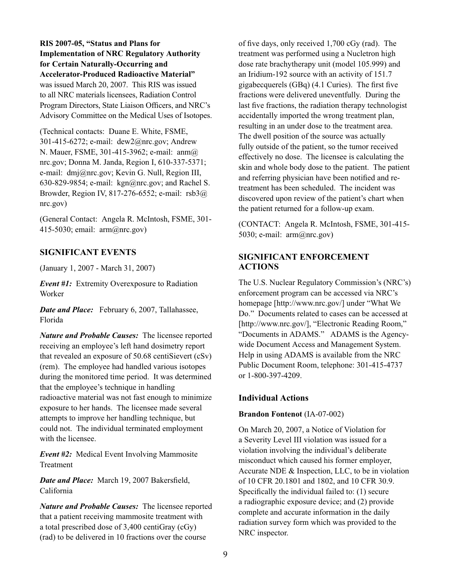**RIS 2007-05, "Status and Plans for Implementation of NRC Regulatory Authority for Certain Naturally-Occurring and Accelerator-Produced Radioactive Material"**  was issued March 20, 2007. This RIS was issued to all NRC materials licensees, Radiation Control Program Directors, State Liaison Officers, and NRC's Advisory Committee on the Medical Uses of Isotopes.

(Technical contacts: Duane E. White, FSME, 301-415-6272; e-mail: dew2@nrc.gov; Andrew N. Mauer, FSME, 301-415-3962; e-mail: anm@ nrc.gov; Donna M. Janda, Region I, 610-337-5371; e-mail: dmj@nrc.gov; Kevin G. Null, Region III, 630-829-9854; e-mail: kgn@nrc.gov; and Rachel S. Browder, Region IV, 817-276-6552; e-mail: rsb3@ nrc.gov)

(General Contact: Angela R. McIntosh, FSME, 301- 415-5030; email: arm@nrc.gov)

# **SIGNIFICANT EVENTS**

(January 1, 2007 - March 31, 2007)

*Event #1:* Extremity Overexposure to Radiation Worker

*Date and Place:*February 6, 2007, Tallahassee, Florida

*Nature and Probable Causes:* The licensee reported receiving an employee's left hand dosimetry report that revealed an exposure of 50.68 centiSievert (cSv) (rem). The employee had handled various isotopes during the monitored time period. It was determined that the employee's technique in handling radioactive material was not fast enough to minimize exposure to her hands. The licensee made several attempts to improve her handling technique, but could not. The individual terminated employment with the licensee

*Event #2:* Medical Event Involving Mammosite Treatment 

*Date and Place:* March 19, 2007 Bakersfield, California

*Nature and Probable Causes:* The licensee reported that a patient receiving mammosite treatment with a total prescribed dose of 3,400 centiGray (cGy) (rad) to be delivered in 10 fractions over the course

of five days, only received 1,700 cGy (rad). The treatment was performed using a Nucletron high dose rate brachytherapy unit (model 105.999) and an Iridium-192 source with an activity of 151.7 gigabecquerels (GBq) (4.1 Curies). The first five fractions were delivered uneventfully. During the last five fractions, the radiation therapy technologist accidentally imported the wrong treatment plan, resulting in an under dose to the treatment area. The dwell position of the source was actually fully outside of the patient, so the tumor received effectively no dose. The licensee is calculating the skin and whole body dose to the patient. The patient and referring physician have been notified and retreatment has been scheduled. The incident was discovered upon review of the patient's chart when the patient returned for a follow-up exam.

(CONTACT: Angela R. McIntosh, FSME, 301-415- 5030; e-mail: arm@nrc.gov)

# **SIGNIFICANT ENFORCEMENT ACTIONS**

The U.S. Nuclear Regulatory Commission's (NRC's) enforcement program can be accessed via NRC's homepage [http://www.nrc.gov/] under "What We Do." Documents related to cases can be accessed at [http://www.nrc.gov/], "Electronic Reading Room," "Documents in ADAMS." ADAMS is the Agencywide Document Access and Management System. Help in using ADAMS is available from the NRC Public Document Room, telephone: 301-415-4737 or 1-800-397-4209.

# **Individual Actions**

# **Brandon Fontenot** (IA-07-002)

On March 20, 2007, a Notice of Violation for a Severity Level III violation was issued for a violation involving the individual's deliberate misconduct which caused his former employer, Accurate NDE & Inspection, LLC, to be in violation of 10 CFR 20.1801 and 1802, and 10 CFR 30.9. Specifically the individual failed to: (1) secure a radiographic exposure device; and (2) provide complete and accurate information in the daily radiation survey form which was provided to the NRC inspector.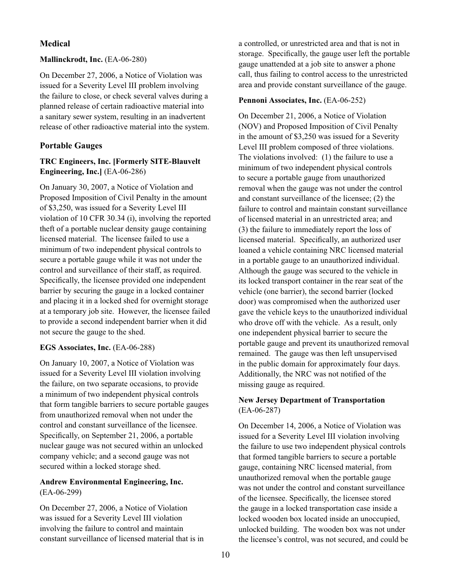# **Medical**

#### **Mallinckrodt, Inc.** (EA-06-280)

On December 27, 2006, a Notice of Violation was issued for a Severity Level III problem involving the failure to close, or check several valves during a planned release of certain radioactive material into a sanitary sewer system, resulting in an inadvertent release of other radioactive material into the system.

### **Portable Gauges**

### **TRC Engineers, Inc. [Formerly SITE-Blauvelt Engineering, Inc.]** (EA-06-286)

On January 30, 2007, a Notice of Violation and Proposed Imposition of Civil Penalty in the amount of \$3,250, was issued for a Severity Level III violation of 10 CFR 30.34 (i), involving the reported theft of a portable nuclear density gauge containing licensed material. The licensee failed to use a minimum of two independent physical controls to secure a portable gauge while it was not under the control and surveillance of their staff, as required. Specifically, the licensee provided one independent barrier by securing the gauge in a locked container and placing it in a locked shed for overnight storage at a temporary job site. However, the licensee failed to provide a second independent barrier when it did not secure the gauge to the shed.

#### **EGS Associates, Inc.** (EA-06-288)

On January 10, 2007, a Notice of Violation was issued for a Severity Level III violation involving the failure, on two separate occasions, to provide a minimum of two independent physical controls that form tangible barriers to secure portable gauges from unauthorized removal when not under the control and constant surveillance of the licensee. Specifically, on September 21, 2006, a portable nuclear gauge was not secured within an unlocked company vehicle; and a second gauge was not secured within a locked storage shed.

### **Andrew Environmental Engineering, Inc.**  (EA-06-299)

On December 27, 2006, a Notice of Violation was issued for a Severity Level III violation involving the failure to control and maintain constant surveillance of licensed material that is in

a controlled, or unrestricted area and that is not in storage. Specifically, the gauge user left the portable gauge unattended at a job site to answer a phone call, thus failing to control access to the unrestricted area and provide constant surveillance of the gauge.

#### Pennoni Associates, Inc. (EA-06-252)

On December 21, 2006, a Notice of Violation (NOV) and Proposed Imposition of Civil Penalty in the amount of \$3,250 was issued for a Severity Level III problem composed of three violations. The violations involved: (1) the failure to use a minimum of two independent physical controls to secure a portable gauge from unauthorized removal when the gauge was not under the control and constant surveillance of the licensee; (2) the failure to control and maintain constant surveillance of licensed material in an unrestricted area; and (3) the failure to immediately report the loss of licensed material. Specifically, an authorized user loaned a vehicle containing NRC licensed material in a portable gauge to an unauthorized individual. Although the gauge was secured to the vehicle in its locked transport container in the rear seat of the vehicle (one barrier), the second barrier (locked door) was compromised when the authorized user gave the vehicle keys to the unauthorized individual who drove off with the vehicle. As a result, only one independent physical barrier to secure the portable gauge and prevent its unauthorized removal remained. The gauge was then left unsupervised in the public domain for approximately four days. Additionally, the NRC was not notified of the missing gauge as required.

# **New Jersey Department of Transportation**  (EA-06-287)

On December 14, 2006, a Notice of Violation was issued for a Severity Level III violation involving the failure to use two independent physical controls that formed tangible barriers to secure a portable gauge, containing NRC licensed material, from unauthorized removal when the portable gauge was not under the control and constant surveillance of the licensee. Specifically, the licensee stored the gauge in a locked transportation case inside a locked wooden box located inside an unoccupied, unlocked building. The wooden box was not under the licensee's control, was not secured, and could be